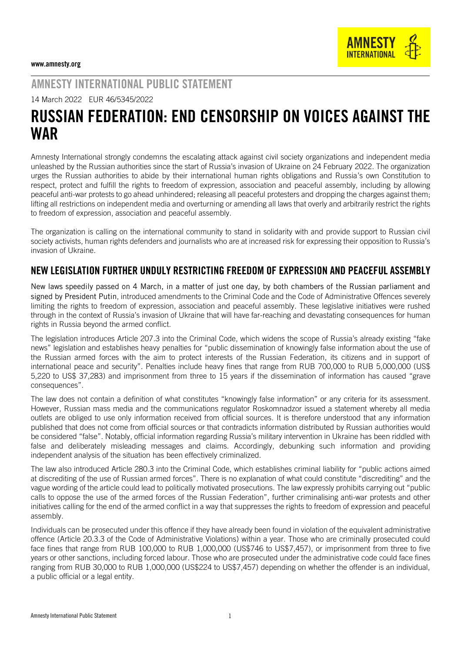AMNESTY INTERNATIONAL PUBLIC STATEMENT

14 March 2022 EUR 46/5345/2022

## RUSSIAN FEDERATION: END CENSORSHIP ON VOICES AGAINST THE **WAR**

Amnesty International strongly condemns the escalating attack against civil society organizations and independent media unleashed by the Russian authorities since the start of Russia's invasion of Ukraine on 24 February 2022. The organization urges the Russian authorities to abide by their international human rights obligations and Russia's own Constitution to respect, protect and fulfill the rights to freedom of expression, association and peaceful assembly, including by allowing peaceful anti-war protests to go ahead unhindered; releasing all peaceful protesters and dropping the charges against them; lifting all restrictions on independent media and overturning or amending all laws that overly and arbitrarily restrict the rights to freedom of expression, association and peaceful assembly.

The organization is calling on the international community to stand in solidarity with and provide support to Russian civil society activists, human rights defenders and journalists who are at increased risk for expressing their opposition to Russia's invasion of Ukraine.

## NEW LEGISLATION FURTHER UNDULY RESTRICTING FREEDOM OF EXPRESSION AND PEACEFUL ASSEMBLY

New laws speedily passed on 4 March, in a matter of just one day, by both chambers of the Russian parliament and signed by President Putin, introduced amendments to the Criminal Code and the Code of Administrative Offences severely limiting the rights to freedom of expression, association and peaceful assembly. These legislative initiatives were rushed through in the context of Russia's invasion of Ukraine that will have far-reaching and devastating consequences for human rights in Russia beyond the armed conflict.

The legislation introduces Article 207.3 into the Criminal Code, which widens the scope of Russia's already existing "fake news" legislation and establishes heavy penalties for "public dissemination of knowingly false information about the use of the Russian armed forces with the aim to protect interests of the Russian Federation, its citizens and in support of international peace and security". Penalties include heavy fines that range from RUB 700,000 to RUB 5,000,000 (US\$ 5,220 to US\$ 37,283) and imprisonment from three to 15 years if the dissemination of information has caused "grave consequences".

The law does not contain a definition of what constitutes "knowingly false information" or any criteria for its assessment. However, Russian mass media and the communications regulator Roskomnadzor issued a statement whereby all media outlets are obliged to use only information received from official sources. It is therefore understood that any information published that does not come from official sources or that contradicts information distributed by Russian authorities would be considered "false". Notably, official information regarding Russia's military intervention in Ukraine has been riddled with false and deliberately misleading messages and claims. Accordingly, debunking such information and providing independent analysis of the situation has been effectively criminalized.

The law also introduced Article 280.3 into the Criminal Code, which establishes criminal liability for "public actions aimed at discrediting of the use of Russian armed forces". There is no explanation of what could constitute "discrediting" and the vague wording of the article could lead to politically motivated prosecutions. The law expressly prohibits carrying out "public calls to oppose the use of the armed forces of the Russian Federation", further criminalising anti-war protests and other initiatives calling for the end of the armed conflict in a way that suppresses the rights to freedom of expression and peaceful assembly.

Individuals can be prosecuted under this offence if they have already been found in violation of the equivalent administrative offence (Article 20.3.3 of the Code of Administrative Violations) within a year. Those who are criminally prosecuted could face fines that range from RUB 100,000 to RUB 1,000,000 (US\$746 to US\$7,457), or imprisonment from three to five years or other sanctions, including forced labour. Those who are prosecuted under the administrative code could face fines ranging from RUB 30,000 to RUB 1,000,000 (US\$224 to US\$7,457) depending on whether the offender is an individual, a public official or a legal entity.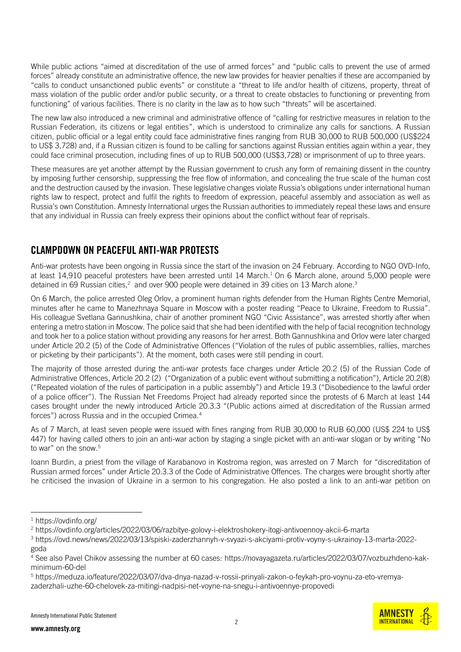While public actions "aimed at discreditation of the use of armed forces" and "public calls to prevent the use of armed forces" already constitute an administrative offence, the new law provides for heavier penalties if these are accompanied by "calls to conduct unsanctioned public events" or constitute a "threat to life and/or health of citizens, property, threat of mass violation of the public order and/or public security, or a threat to create obstacles to functioning or preventing from functioning" of various facilities. There is no clarity in the law as to how such "threats" will be ascertained.

The new law also introduced a new criminal and administrative offence of "calling for restrictive measures in relation to the Russian Federation, its citizens or legal entities", which is understood to criminalize any calls for sanctions. A Russian citizen, public official or a legal entity could face administrative fines ranging from RUB 30,000 to RUB 500,000 (US\$224 to US\$ 3,728) and, if a Russian citizen is found to be calling for sanctions against Russian entities again within a year, they could face criminal prosecution, including fines of up to RUB 500,000 (US\$3,728) or imprisonment of up to three years.

These measures are yet another attempt by the Russian government to crush any form of remaining dissent in the country by imposing further censorship, suppressing the free flow of information, and concealing the true scale of the human cost and the destruction caused by the invasion. These legislative changes violate Russia's obligations under international human rights law to respect, protect and fulfil the rights to freedom of expression, peaceful assembly and association as well as Russia's own Constitution. Amnesty International urges the Russian authorities to immediately repeal these laws and ensure that any individual in Russia can freely express their opinions about the conflict without fear of reprisals.

## CLAMPDOWN ON PEACEFUL ANTI-WAR PROTESTS

Anti-war protests have been ongoing in Russia since the start of the invasion on 24 February. According to NGO OVD-Info, at least 14,910 peaceful protesters have been arrested until 14 March. <sup>1</sup> On 6 March alone, around 5,000 people were detained in 69 Russian cities, $^2\,$  and over 900 people were detained in 39 cities on 13 March alone. $^3\,$ 

On 6 March, the police arrested Oleg Orlov, a prominent human rights defender from the Human Rights Centre Memorial, minutes after he came to Manezhnaya Square in Moscow with a poster reading "Peace to Ukraine, Freedom to Russia". His colleague Svetlana Gannushkina, chair of another prominent NGO "Civic Assistance", was arrested shortly after when entering a metro station in Moscow. The police said that she had been identified with the help of facial recognition technology and took her to a police station without providing any reasons for her arrest. Both Gannushkina and Orlov were later charged under Article 20.2 (5) of the Code of Administrative Offences ("Violation of the rules of public assemblies, rallies, marches or picketing by their participants"). At the moment, both cases were still pending in court.

The majority of those arrested during the anti-war protests face charges under Article 20.2 (5) of the Russian Code of Administrative Offences, Article 20.2 (2) ("Organization of a public event without submitting a notification"), Article 20.2(8) ("Repeated violation of the rules of participation in a public assembly") and Article 19.3 ("Disobedience to the lawful order of a police officer"). The Russian Net Freedoms Project had already reported since the protests of 6 March at least 144 cases brought under the newly introduced Article 20.3.3 "(Public actions aimed at discreditation of the Russian armed forces") across Russia and in the occupied Crimea.<sup>4</sup>

As of 7 March, at least seven people were issued with fines ranging from RUB 30,000 to RUB 60,000 (US\$ 224 to US\$ 447) for having called others to join an anti-war action by staging a single picket with an anti-war slogan or by writing "No to war" on the snow.<sup>5</sup>

Ioann Burdin, a priest from the village of Karabanovo in Kostroma region, was arrested on 7 March for "discreditation of Russian armed forces" under Article 20.3.3 of the Code of Administrative Offences. The charges were brought shortly after he criticised the invasion of Ukraine in a sermon to his congregation. He also posted a link to an anti-war petition on



<sup>1</sup> <https://ovdinfo.org/>

<sup>2</sup> <https://ovdinfo.org/articles/2022/03/06/razbitye-golovy-i-elektroshokery-itogi-antivoennoy-akcii-6-marta>

<sup>3</sup> [https://ovd.news/news/2022/03/13/spiski-zaderzhannyh-v-svyazi-s-akciyami-protiv-voyny-s-ukrainoy-13-marta-2022](https://ovd.news/news/2022/03/13/spiski-zaderzhannyh-v-svyazi-s-akciyami-protiv-voyny-s-ukrainoy-13-marta-2022-goda) [goda](https://ovd.news/news/2022/03/13/spiski-zaderzhannyh-v-svyazi-s-akciyami-protiv-voyny-s-ukrainoy-13-marta-2022-goda)

<sup>4</sup> See also Pavel Chikov assessing the number at 60 cases: [https://novayagazeta.ru/articles/2022/03/07/vozbuzhdeno-kak](https://novayagazeta.ru/articles/2022/03/07/vozbuzhdeno-kak-minimum-60-del)[minimum-60-del](https://novayagazeta.ru/articles/2022/03/07/vozbuzhdeno-kak-minimum-60-del)

<sup>5</sup> [https://meduza.io/feature/2022/03/07/dva-dnya-nazad-v-rossii-prinyali-zakon-o-feykah-pro-voynu-za-eto-vremya](https://meduza.io/feature/2022/03/07/dva-dnya-nazad-v-rossii-prinyali-zakon-o-feykah-pro-voynu-za-eto-vremya-zaderzhali-uzhe-60-chelovek-za-mitingi-nadpisi-net-voyne-na-snegu-i-antivoennye-propovedi)[zaderzhali-uzhe-60-chelovek-za-mitingi-nadpisi-net-voyne-na-snegu-i-antivoennye-propovedi](https://meduza.io/feature/2022/03/07/dva-dnya-nazad-v-rossii-prinyali-zakon-o-feykah-pro-voynu-za-eto-vremya-zaderzhali-uzhe-60-chelovek-za-mitingi-nadpisi-net-voyne-na-snegu-i-antivoennye-propovedi)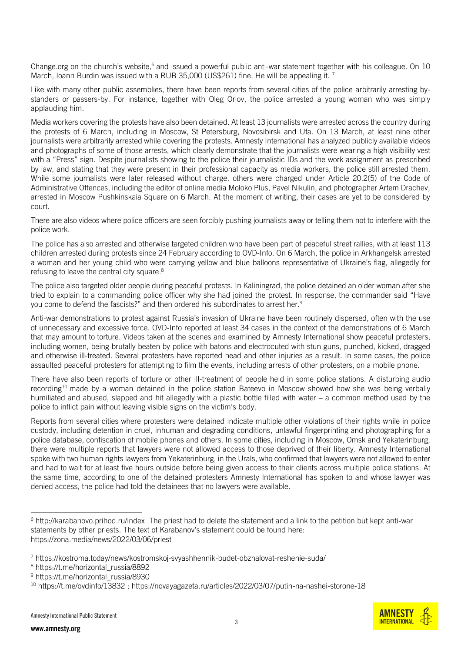Change.org on the church's website,<sup>6</sup> and issued a powerful public anti-war statement together with his colleague. On 10 March, Ioann Burdin was issued with a RUB 35,000 (US\$261) fine. He will be appealing it.<sup>7</sup>

Like with many other public assemblies, there have been reports from several cities of the police arbitrarily arresting bystanders or passers-by. For instance, together with Oleg Orlov, the police arrested a young woman who was simply applauding him.

Media workers covering the protests have also been detained. At least 13 journalists were arrested across the country during the protests of 6 March, including in Moscow, St Petersburg, Novosibirsk and Ufa. On 13 March, at least nine other journalists were arbitrarily arrested while covering the protests. Amnesty International has analyzed publicly available videos and photographs of some of those arrests, which clearly demonstrate that the journalists were wearing a high visibility vest with a "Press" sign. Despite journalists showing to the police their journalistic IDs and the work assignment as prescribed by law, and stating that they were present in their professional capacity as media workers, the police still arrested them. While some journalists were later released without charge, others were charged under Article 20.2(5) of the Code of Administrative Offences, including the editor of online media Moloko Plus, Pavel Nikulin, and photographer Artem Drachev, arrested in Moscow Pushkinskaia Square on 6 March. At the moment of writing, their cases are yet to be considered by court.

There are also videos where police officers are seen forcibly pushing journalists away or telling them not to interfere with the police work.

The police has also arrested and otherwise targeted children who have been part of peaceful street rallies, with at least 113 children arrested during protests since 24 February according to OVD-Info. On 6 March, the police in Arkhangelsk arrested a woman and her young child who were carrying yellow and blue balloons representative of Ukraine's flag, allegedly for refusing to leave the central city square.<sup>8</sup>

The police also targeted older people during peaceful protests. In Kaliningrad, the police detained an older woman after she tried to explain to a commanding police officer why she had joined the protest. In response, the commander said "Have you come to defend the fascists?" and then ordered his subordinates to arrest her. 9

Anti-war demonstrations to protest against Russia's invasion of Ukraine have been routinely dispersed, often with the use of unnecessary and excessive force. OVD-Info reported at least 34 cases in the context of the demonstrations of 6 March that may amount to torture. Videos taken at the scenes and examined by Amnesty International show peaceful protesters, including women, being brutally beaten by police with batons and electrocuted with stun guns, punched, kicked, dragged and otherwise ill-treated. Several protesters have reported head and other injuries as a result. In some cases, the police assaulted peaceful protesters for attempting to film the events, including arrests of other protesters, on a mobile phone.

There have also been reports of torture or other ill-treatment of people held in some police stations. A disturbing audio recording<sup>10</sup> made by a woman detained in the police station Bateevo in Moscow showed how she was being verbally humiliated and abused, slapped and hit allegedly with a plastic bottle filled with water – a common method used by the police to inflict pain without leaving visible signs on the victim's body.

Reports from several cities where protesters were detained indicate multiple other violations of their rights while in police custody, including detention in cruel, inhuman and degrading conditions, unlawful fingerprinting and photographing for a police database, confiscation of mobile phones and others. In some cities, including in Moscow, Omsk and Yekaterinburg, there were multiple reports that lawyers were not allowed access to those deprived of their liberty. Amnesty International spoke with two human rights lawyers from Yekaterinburg, in the Urals, who confirmed that lawyers were not allowed to enter and had to wait for at least five hours outside before being given access to their clients across multiple police stations. At the same time, according to one of the detained protesters Amnesty International has spoken to and whose lawyer was denied access, the police had told the detainees that no lawyers were available.

<sup>&</sup>lt;sup>6</sup> <http://karabanovo.prihod.ru/index> The priest had to delete the statement and a link to the petition but kept anti-war statements by other priests. The text of Karabanov's statement could be found here: <https://zona.media/news/2022/03/06/priest>

<sup>7</sup> <https://kostroma.today/news/kostromskoj-svyashhennik-budet-obzhalovat-reshenie-suda/>

<sup>&</sup>lt;sup>8</sup> [https://t.me/horizontal\\_russia/8892](https://t.me/horizontal_russia/8892)

<sup>&</sup>lt;sup>9</sup> [https://t.me/horizontal\\_russia/8930](https://t.me/horizontal_russia/8930)

<sup>10</sup> <https://t.me/ovdinfo/13832> ;<https://novayagazeta.ru/articles/2022/03/07/putin-na-nashei-storone-18>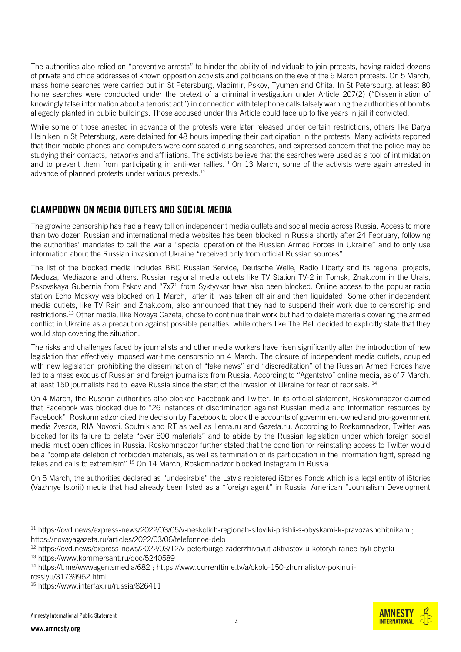The authorities also relied on "preventive arrests" to hinder the ability of individuals to join protests, having raided dozens of private and office addresses of known opposition activists and politicians on the eve of the 6 March protests. On 5 March, mass home searches were carried out in St Petersburg, Vladimir, Pskov, Tyumen and Chita. In St Petersburg, at least 80 home searches were conducted under the pretext of a criminal investigation under Article 207(2) ("Dissemination of knowingly false information about a terrorist act") in connection with telephone calls falsely warning the authorities of bombs allegedly planted in public buildings. Those accused under this Article could face up to five years in jail if convicted.

While some of those arrested in advance of the protests were later released under certain restrictions, others like Darya Heiniken in St Petersburg, were detained for 48 hours impeding their participation in the protests. Many activists reported that their mobile phones and computers were confiscated during searches, and expressed concern that the police may be studying their contacts, networks and affiliations. The activists believe that the searches were used as a tool of intimidation and to prevent them from participating in anti-war rallies.<sup>11</sup> On 13 March, some of the activists were again arrested in advance of planned protests under various pretexts.<sup>12</sup>

## CLAMPDOWN ON MEDIA OUTLETS AND SOCIAL MEDIA

The growing censorship has had a heavy toll on independent media outlets and social media across Russia. Access to more than two dozen Russian and international media websites has been blocked in Russia shortly after 24 February, following the authorities' mandates to call the war a "special operation of the Russian Armed Forces in Ukraine" and to only use information about the Russian invasion of Ukraine "received only from official Russian sources".

The list of the blocked media includes BBC Russian Service, Deutsche Welle, Radio Liberty and its regional projects, Meduza, Mediazona and others. Russian regional media outlets like TV Station TV-2 in Tomsk, Znak.com in the Urals, Pskovskaya Gubernia from Pskov and "7x7" from Syktyvkar have also been blocked. Online access to the popular radio station Echo Moskvy was blocked on 1 March, after it was taken off air and then liquidated. Some other independent media outlets, like TV Rain and Znak.com, also announced that they had to suspend their work due to censorship and restrictions. <sup>13</sup> Other media, like Novaya Gazeta, chose to continue their work but had to delete materials covering the armed conflict in Ukraine as a precaution against possible penalties, while others like The Bell decided to explicitly state that they would stop covering the situation.

The risks and challenges faced by journalists and other media workers have risen significantly after the introduction of new legislation that effectively imposed war-time censorship on 4 March. The closure of independent media outlets, coupled with new legislation prohibiting the dissemination of "fake news" and "discreditation" of the Russian Armed Forces have led to a mass exodus of Russian and foreign journalists from Russia. According to "Agentstvo" online media, as of 7 March, at least 150 journalists had to leave Russia since the start of the invasion of Ukraine for fear of reprisals. <sup>14</sup>

On 4 March, the Russian authorities also blocked Facebook and Twitter. In its official statement, Roskomnadzor claimed that Facebook was blocked due to "26 instances of discrimination against Russian media and information resources by Facebook". Roskomnadzor cited the decision by Facebook to block the accounts of government-owned and pro-government media Zvezda, RIA Novosti, Sputnik and RT as well as Lenta.ru and Gazeta.ru. According to Roskomnadzor, Twitter was blocked for its failure to delete "over 800 materials" and to abide by the Russian legislation under which foreign social media must open offices in Russia. Roskomnadzor further stated that the condition for reinstating access to Twitter would be a "complete deletion of forbidden materials, as well as termination of its participation in the information fight, spreading fakes and calls to extremism".<sup>15</sup> On 14 March, Roskomnadzor blocked Instagram in Russia.

On 5 March, the authorities declared as "undesirable" the Latvia registered iStories Fonds which is a legal entity of iStories (Vazhnye Istorii) media that had already been listed as a "foreign agent" in Russia. American "Journalism Development



<sup>11</sup> <https://ovd.news/express-news/2022/03/05/v-neskolkih-regionah-siloviki-prishli-s-obyskami-k-pravozashchitnikam>; <https://novayagazeta.ru/articles/2022/03/06/telefonnoe-delo>

<sup>12</sup> <https://ovd.news/express-news/2022/03/12/v-peterburge-zaderzhivayut-aktivistov-u-kotoryh-ranee-byli-obyski>

<sup>13</sup> <https://www.kommersant.ru/doc/5240589>

<sup>14</sup> <https://t.me/wwwagentsmedia/682> ; [https://www.currenttime.tv/a/okolo-150-zhurnalistov-pokinuli](https://www.currenttime.tv/a/okolo-150-zhurnalistov-pokinuli-rossiyu/31739962.html)[rossiyu/31739962.html](https://www.currenttime.tv/a/okolo-150-zhurnalistov-pokinuli-rossiyu/31739962.html)

<sup>15</sup> <https://www.interfax.ru/russia/826411>